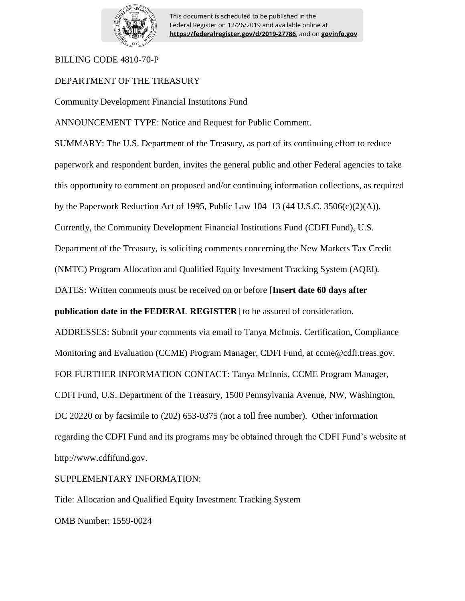

This document is scheduled to be published in the Federal Register on 12/26/2019 and available online at **https://federalregister.gov/d/2019-27786**, and on **govinfo.gov**

## BILLING CODE 4810-70-P

## DEPARTMENT OF THE TREASURY

Community Development Financial Instutitons Fund

ANNOUNCEMENT TYPE: Notice and Request for Public Comment.

SUMMARY: The U.S. Department of the Treasury, as part of its continuing effort to reduce paperwork and respondent burden, invites the general public and other Federal agencies to take this opportunity to comment on proposed and/or continuing information collections, as required by the Paperwork Reduction Act of 1995, Public Law  $104-13$  (44 U.S.C. 3506(c)(2)(A)). Currently, the Community Development Financial Institutions Fund (CDFI Fund), U.S. Department of the Treasury, is soliciting comments concerning the New Markets Tax Credit (NMTC) Program Allocation and Qualified Equity Investment Tracking System (AQEI)*.* DATES: Written comments must be received on or before [**Insert date 60 days after publication date in the FEDERAL REGISTER**] to be assured of consideration. ADDRESSES: Submit your comments via email to Tanya McInnis, Certification, Compliance Monitoring and Evaluation (CCME) Program Manager, CDFI Fund, at ccme@cdfi.treas.gov. FOR FURTHER INFORMATION CONTACT: Tanya McInnis, CCME Program Manager, CDFI Fund, U.S. Department of the Treasury, 1500 Pennsylvania Avenue, NW, Washington, DC 20220 or by facsimile to (202) 653-0375 (not a toll free number). Other information regarding the CDFI Fund and its programs may be obtained through the CDFI Fund's website at http://www.cdfifund.gov.

## SUPPLEMENTARY INFORMATION:

Title: Allocation and Qualified Equity Investment Tracking System OMB Number: 1559-0024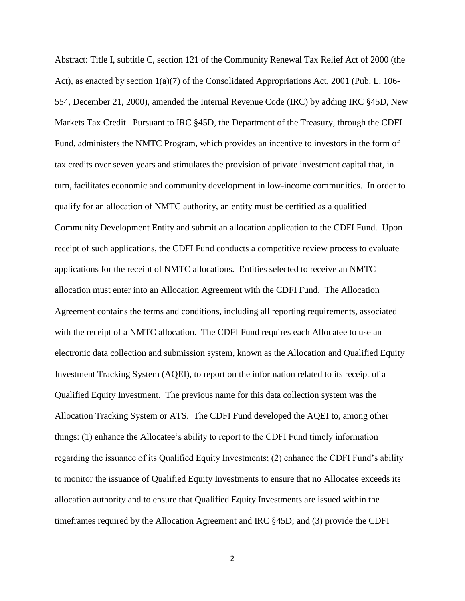Abstract: Title I, subtitle C, section 121 of the Community Renewal Tax Relief Act of 2000 (the Act), as enacted by section 1(a)(7) of the Consolidated Appropriations Act, 2001 (Pub. L. 106- 554, December 21, 2000), amended the Internal Revenue Code (IRC) by adding IRC §45D, New Markets Tax Credit. Pursuant to IRC §45D, the Department of the Treasury, through the CDFI Fund, administers the NMTC Program, which provides an incentive to investors in the form of tax credits over seven years and stimulates the provision of private investment capital that, in turn, facilitates economic and community development in low-income communities. In order to qualify for an allocation of NMTC authority, an entity must be certified as a qualified Community Development Entity and submit an allocation application to the CDFI Fund. Upon receipt of such applications, the CDFI Fund conducts a competitive review process to evaluate applications for the receipt of NMTC allocations. Entities selected to receive an NMTC allocation must enter into an Allocation Agreement with the CDFI Fund. The Allocation Agreement contains the terms and conditions, including all reporting requirements, associated with the receipt of a NMTC allocation. The CDFI Fund requires each Allocatee to use an electronic data collection and submission system, known as the Allocation and Qualified Equity Investment Tracking System (AQEI), to report on the information related to its receipt of a Qualified Equity Investment. The previous name for this data collection system was the Allocation Tracking System or ATS. The CDFI Fund developed the AQEI to, among other things: (1) enhance the Allocatee's ability to report to the CDFI Fund timely information regarding the issuance of its Qualified Equity Investments; (2) enhance the CDFI Fund's ability to monitor the issuance of Qualified Equity Investments to ensure that no Allocatee exceeds its allocation authority and to ensure that Qualified Equity Investments are issued within the timeframes required by the Allocation Agreement and IRC §45D; and (3) provide the CDFI

2